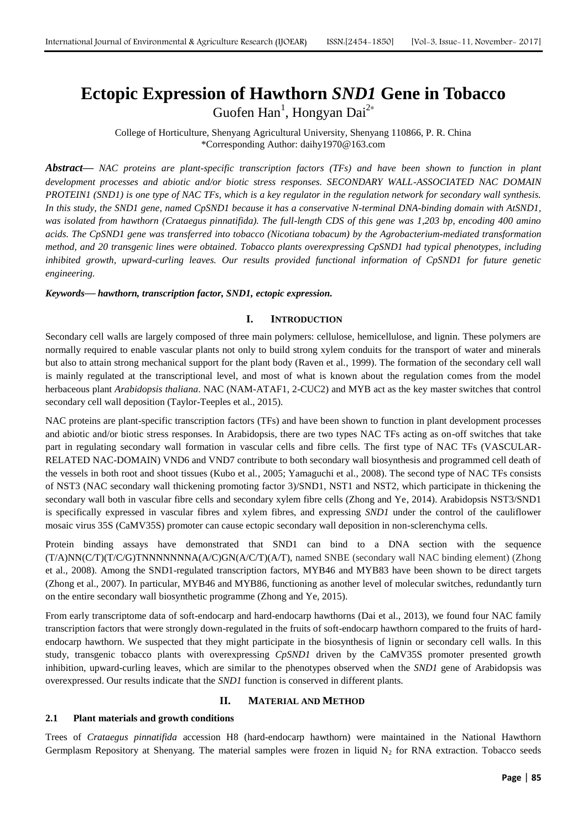# **Ectopic Expression of Hawthorn** *SND1* **Gene in Tobacco** Guofen Han<sup>1</sup>, Hongyan Dai<sup>2\*</sup>

College of Horticulture, Shenyang Agricultural University, Shenyang 110866, P. R. China \*Corresponding Author: daihy1970@163.com

*Abstract***—** *NAC proteins are plant-specific transcription factors (TFs) and have been shown to function in plant development processes and abiotic and/or biotic stress responses. SECONDARY WALL-ASSOCIATED NAC DOMAIN PROTEIN1 (SND1) is one type of NAC TFs, which is a key regulator in the regulation network for secondary wall synthesis. In this study, the SND1 gene, named CpSND1 because it has a conservative N-terminal DNA-binding domain with AtSND1, was isolated from hawthorn (Crataegus pinnatifida). The full-length CDS of this gene was 1,203 bp, encoding 400 amino acids. The CpSND1 gene was transferred into tobacco (Nicotiana tobacum) by the Agrobacterium-mediated transformation method, and 20 transgenic lines were obtained. Tobacco plants overexpressing CpSND1 had typical phenotypes, including inhibited growth, upward-curling leaves. Our results provided functional information of CpSND1 for future genetic engineering.*

#### *Keywords***—** *hawthorn, transcription factor, SND1, ectopic expression.*

#### **I. INTRODUCTION**

Secondary cell walls are largely composed of three main polymers: cellulose, hemicellulose, and lignin. These polymers are normally required to enable vascular plants not only to build strong xylem conduits for the transport of water and minerals but also to attain strong mechanical support for the plant body (Raven et al., 1999). The formation of the secondary cell wall is mainly regulated at the transcriptional level, and most of what is known about the regulation comes from the model herbaceous plant *Arabidopsis thaliana*. NAC (NAM-ATAF1, 2-CUC2) and MYB act as the key master switches that control secondary cell wall deposition (Taylor-Teeples et al., 2015).

NAC proteins are plant-specific transcription factors (TFs) and have been shown to function in plant development processes and abiotic and/or biotic stress responses. In Arabidopsis, there are two types NAC TFs acting as on-off switches that take part in regulating secondary wall formation in vascular cells and fibre cells. The first type of NAC TFs (VASCULAR-RELATED NAC-DOMAIN) VND6 and VND7 contribute to both secondary wall biosynthesis and programmed cell death of the vessels in both root and shoot tissues (Kubo et al., 2005; Yamaguchi et al., 2008). The second type of NAC TFs consists of NST3 (NAC secondary wall thickening promoting factor 3)/SND1, NST1 and NST2, which participate in thickening the secondary wall both in vascular fibre cells and secondary xylem fibre cells (Zhong and Ye, 2014). Arabidopsis NST3/SND1 is specifically expressed in vascular fibres and xylem fibres, and expressing *SND1* under the control of the cauliflower mosaic virus 35S (CaMV35S) promoter can cause ectopic secondary wall deposition in non-sclerenchyma cells.

Protein binding assays have demonstrated that SND1 can bind to a DNA section with the sequence (T/A)NN(C/T)(T/C/G)TNNNNNNNA(A/C)GN(A/C/T)(A/T), named SNBE (secondary wall NAC binding element) (Zhong et al., 2008). Among the SND1-regulated transcription factors, MYB46 and MYB83 have been shown to be direct targets (Zhong et al., 2007). In particular, MYB46 and MYB86, functioning as another level of molecular switches, redundantly turn on the entire secondary wall biosynthetic programme (Zhong and Ye, 2015).

From early transcriptome data of soft-endocarp and hard-endocarp hawthorns (Dai et al., 2013), we found four NAC family transcription factors that were strongly down-regulated in the fruits of soft-endocarp hawthorn compared to the fruits of hardendocarp hawthorn. We suspected that they might participate in the biosynthesis of lignin or secondary cell walls. In this study, transgenic tobacco plants with overexpressing *CpSND1* driven by the CaMV35S promoter presented growth inhibition, upward-curling leaves, which are similar to the phenotypes observed when the *SND1* gene of Arabidopsis was overexpressed. Our results indicate that the *SND1* function is conserved in different plants.

#### **II. MATERIAL AND METHOD**

#### **2.1 Plant materials and growth conditions**

Trees of *Crataegus pinnatifida* accession H8 (hard-endocarp hawthorn) were maintained in the National Hawthorn Germplasm Repository at Shenyang. The material samples were frozen in liquid  $N_2$  for RNA extraction. Tobacco seeds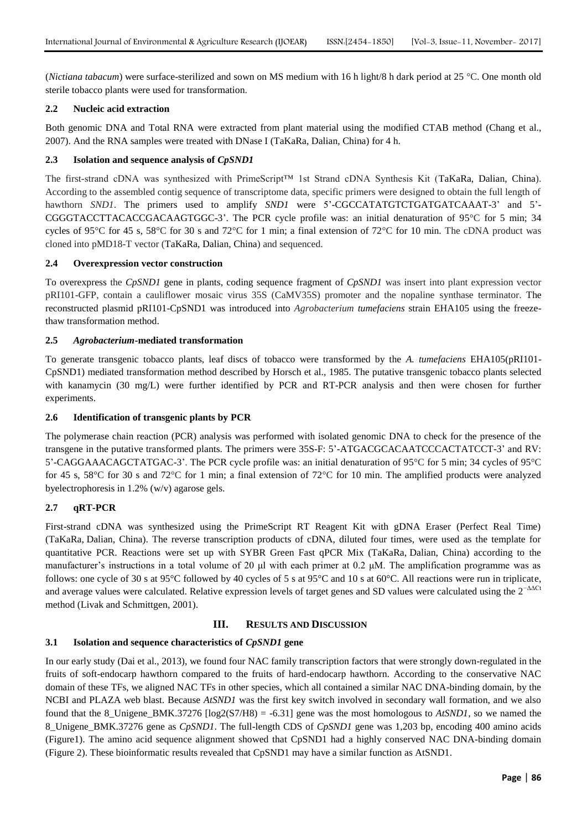(*Nictiana tabacum*) were surface-sterilized and sown on MS medium with 16 h light/8 h dark period at 25 °C. One month old sterile tobacco plants were used for transformation.

#### **2.2 Nucleic acid extraction**

Both genomic DNA and Total RNA were extracted from plant material using the modified CTAB method (Chang et al., 2007). And the RNA samples were treated with DNase I (TaKaRa, Dalian, China) for 4 h.

#### **2.3 Isolation and sequence analysis of** *CpSND1*

The first-strand cDNA was synthesized with PrimeScript™ 1st Strand cDNA Synthesis Kit (TaKaRa, Dalian, China). According to the assembled contig sequence of transcriptome data, specific primers were designed to obtain the full length of hawthorn *SND1*. The primers used to amplify *SND1* were 5'-CGCCATATGTCTGATGATCAAAT-3' and 5'-CGGGTACCTTACACCGACAAGTGGC-3'. The PCR cycle profile was: an initial denaturation of 95°C for 5 min; 34 cycles of 95°C for 45 s, 58°C for 30 s and 72°C for 1 min; a final extension of 72°C for 10 min. The cDNA product was cloned into pMD18-T vector (TaKaRa, Dalian, China) and sequenced.

#### **2.4 Overexpression vector construction**

To overexpress the *CpSND1* gene in plants, coding sequence fragment of *CpSND1* was insert into plant expression vector pRI101-GFP, contain a cauliflower mosaic virus 35S (CaMV35S) promoter and the nopaline synthase terminator. The reconstructed plasmid pRI101-CpSND1 was introduced into *Agrobacterium tumefaciens* strain EHA105 using the freezethaw transformation method.

#### **2.5** *Agrobacterium***-mediated transformation**

To generate transgenic tobacco plants, leaf discs of tobacco were transformed by the *A. tumefaciens* EHA105(pRI101- CpSND1) mediated transformation method described by Horsch et al., 1985. The putative transgenic tobacco plants selected with kanamycin (30 mg/L) were further identified by PCR and RT-PCR analysis and then were chosen for further experiments.

#### **2.6 Identification of transgenic plants by PCR**

The polymerase chain reaction (PCR) analysis was performed with isolated genomic DNA to check for the presence of the transgene in the putative transformed plants. The primers were 35S-F: 5'-ATGACGCACAATCCCACTATCCT-3' and RV: 5'-CAGGAAACAGCTATGAC-3'. The PCR cycle profile was: an initial denaturation of 95°C for 5 min; 34 cycles of 95°C for 45 s, 58°C for 30 s and 72°C for 1 min; a final extension of 72°C for 10 min. The amplified products were analyzed byelectrophoresis in 1.2% (w/v) agarose gels.

## **2.7 qRT-PCR**

First-strand cDNA was synthesized using the PrimeScript RT Reagent Kit with gDNA Eraser (Perfect Real Time) (TaKaRa, Dalian, China). The reverse transcription products of cDNA, diluted four times, were used as the template for quantitative PCR. Reactions were set up with SYBR Green Fast qPCR Mix (TaKaRa, Dalian, China) according to the manufacturer's instructions in a total volume of 20  $\mu$ l with each primer at 0.2  $\mu$ M. The amplification programme was as follows: one cycle of 30 s at 95°C followed by 40 cycles of 5 s at 95°C and 10 s at 60°C. All reactions were run in triplicate, and average values were calculated. Relative expression levels of target genes and SD values were calculated using the  $2^{-\Delta\Delta Ct}$ method (Livak and Schmittgen, 2001).

# **III. RESULTS AND DISCUSSION**

#### **3.1 Isolation and sequence characteristics of** *CpSND1* **gene**

In our early study (Dai et al., 2013), we found four NAC family transcription factors that were strongly down-regulated in the fruits of soft-endocarp hawthorn compared to the fruits of hard-endocarp hawthorn. According to the conservative NAC domain of these TFs, we aligned NAC TFs in other species, which all contained a similar NAC DNA-binding domain, by the NCBI and PLAZA web blast. Because *AtSND1* was the first key switch involved in secondary wall formation, and we also found that the 8\_Unigene\_BMK.37276  $[log2(S7/H8) = -6.31]$  gene was the most homologous to *AtSND1*, so we named the 8\_Unigene\_BMK.37276 gene as *CpSND1*. The full-length CDS of *CpSND1* gene was 1,203 bp, encoding 400 amino acids (Figure1). The amino acid sequence alignment showed that CpSND1 had a highly conserved NAC DNA-binding domain (Figure 2). These bioinformatic results revealed that CpSND1 may have a similar function as AtSND1.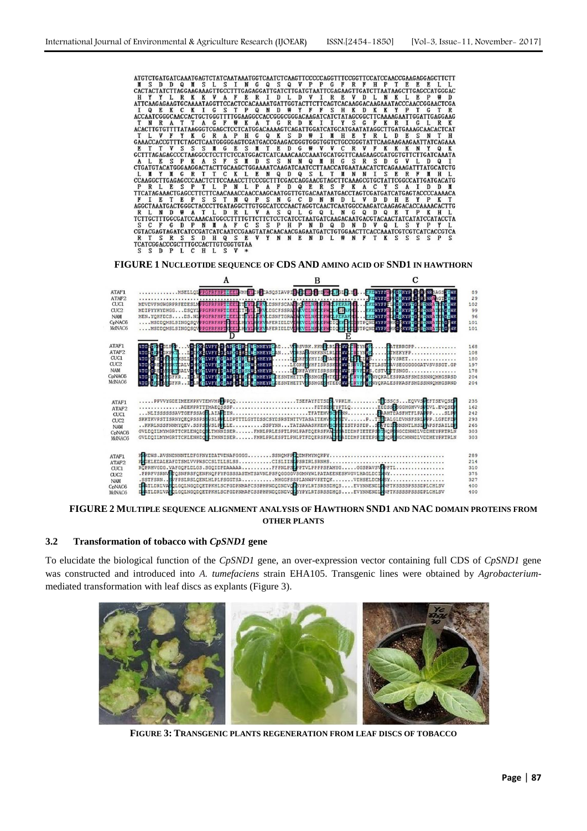```
S
               S
                  S
                    M G
                          E S\mathbf{M}T E D
                                           \mathbf{G}49
                                                  V
                                                        \mathbf{C}\mathbb{R}V
                                                                   \mathbf{K}\mathbf{K}K NL N Y N G R T T C K L E N Q D Q S L T N N N I S E R F N H L CCAAGGCTTGAGAGCCCAACTCTTCCAACCTTCCCCCCTTCGACCAGGAACGTAGCTTCCAAGCGTGCTATTCGGCCATTGATGACATG
PRICE SPITILIPING LIPATED QUERS FRACTISATION DUE TRANSFORMATION DE TRANSFORMATION DE TRANSFORMATION DE TRANSFORMATION DE TRANSFORMATION DE TRANSFORMATION DE TRANSFORMATION DE TRANSFORMATION DE TRANSFORMATION DE TRANSFORMAT
TELEVIS AND TRANSPORTED TO A SUBDIVISION CONTROL IN CONTRACT TO BE TO BE TO BE TO BE TO BE TO BE TO BE TO BE TO BE TO BE TO BE TO BE TO BE TO BE TO BE TO BE TO BE TO BE TO BE TO BE TO BE TO BE TO BE TO BE TO BE TO BE TO BE
R T S R S S D H Q S E<br>TCATCGGACCCGCTTTGCCACTTGTCGGTGTAA
                                V
                                        N E N D
                                                    L W
                                                          N FT
                                                                        \overline{\mathbf{s}}\overline{\mathbf{s}}Y
                                      \, {\bf N}KS
                                                                               S
   S
      D P
            L C H L
                        \mathcal{S}
```
**FIGURE 1 NUCLEOTIDE SEQUENCE OF CDS AND AMINO ACID OF SND1 IN HAWTHORN**



**FIGURE 2 MULTIPLE SEQUENCE ALIGNMENT ANALYSIS OF HAWTHORN SND1 AND NAC DOMAIN PROTEINS FROM OTHER PLANTS**

### **3.2 Transformation of tobacco with** *CpSND1* **gene**

To elucidate the biological function of the *CpSND1* gene, an over-expression vector containing full CDS of *CpSND1* gene was constructed and introduced into *A. tumefaciens* strain EHA105. Transgenic lines were obtained by *Agrobacterium*mediated transformation with leaf discs as explants (Figure 3).



**FIGURE 3: TRANSGENIC PLANTS REGENERATION FROM LEAF DISCS OF TOBACCO**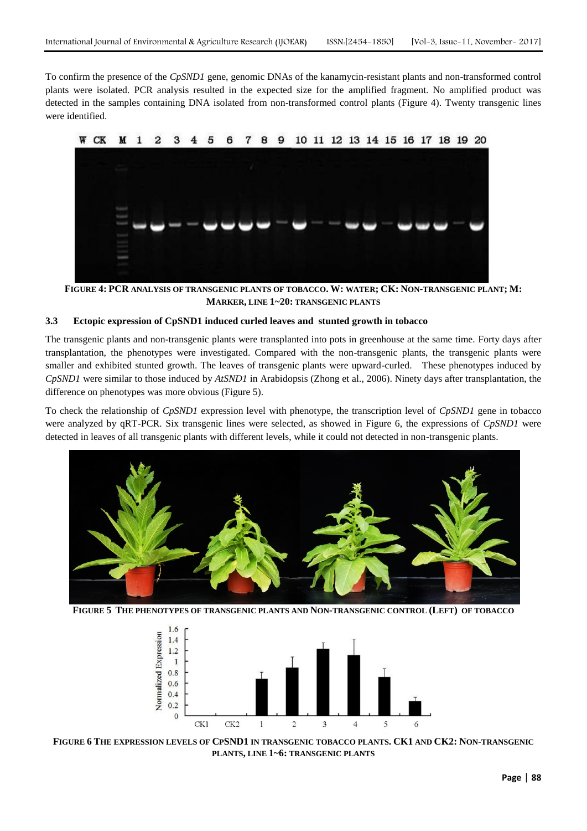To confirm the presence of the *CpSND1* gene, genomic DNAs of the kanamycin-resistant plants and non-transformed control plants were isolated. PCR analysis resulted in the expected size for the amplified fragment. No amplified product was detected in the samples containing DNA isolated from non-transformed control plants (Figure 4). Twenty transgenic lines were identified.



**FIGURE 4: PCR ANALYSIS OF TRANSGENIC PLANTS OF TOBACCO. W: WATER; CK: NON-TRANSGENIC PLANT; M: MARKER, LINE 1~20: TRANSGENIC PLANTS**

#### **3.3 Ectopic expression of CpSND1 induced curled leaves and stunted growth in tobacco**

The transgenic plants and non-transgenic plants were transplanted into pots in greenhouse at the same time. Forty days after transplantation, the phenotypes were investigated. Compared with the non-transgenic plants, the transgenic plants were smaller and exhibited stunted growth. The leaves of transgenic plants were upward-curled. These phenotypes induced by *CpSND1* were similar to those induced by *AtSND1* in Arabidopsis (Zhong et al., 2006). Ninety days after transplantation, the difference on phenotypes was more obvious (Figure 5).

To check the relationship of *CpSND1* expression level with phenotype, the transcription level of *CpSND1* gene in tobacco were analyzed by qRT-PCR. Six transgenic lines were selected, as showed in Figure 6, the expressions of *CpSND1* were detected in leaves of all transgenic plants with different levels, while it could not detected in non-transgenic plants.



**FIGURE 5 THE PHENOTYPES OF TRANSGENIC PLANTS AND NON-TRANSGENIC CONTROL (LEFT) OF TOBACCO**



FIGURE 6 THE EXPRESSION LEVELS OF CPSND1 IN TRANSGENIC TOBACCO PLANTS. CK1 AND CK2: NON-TRANSGENIC **PLANTS, LINE 1~6: TRANSGENIC PLANTS**